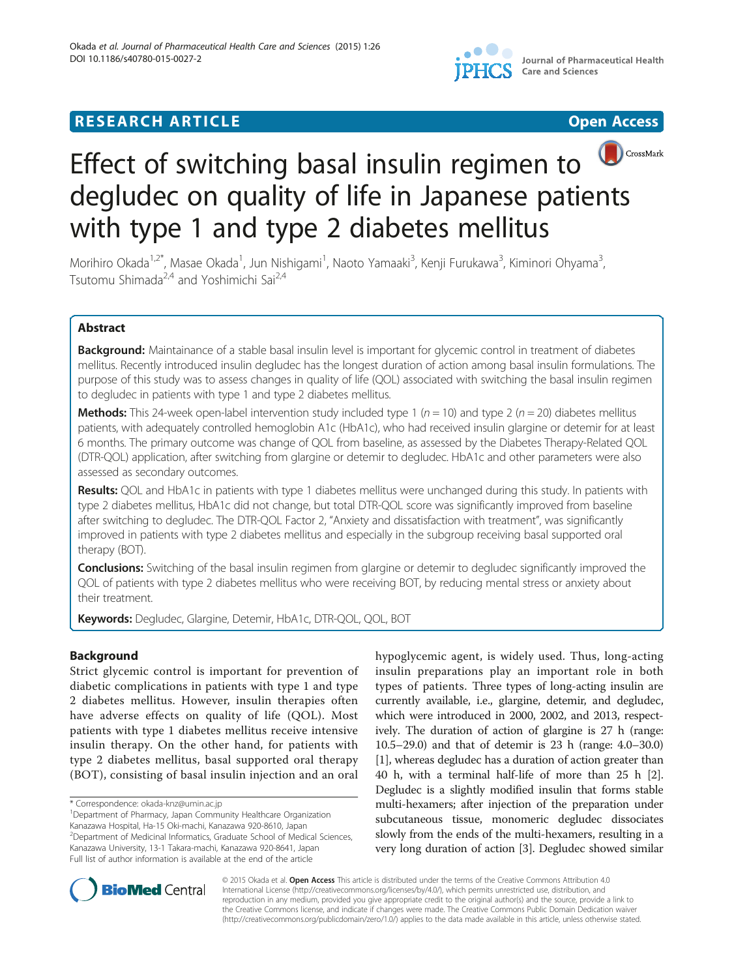

# **RESEARCH ARTICLE Example 2018 12:00 Department 2018 12:00 Department 2018 12:00 Department 2018 12:00 Department 2018 12:00 Department 2018 12:00 Department 2018 12:00 Department 2018 12:00 Department 2018 12:00 Departm**





# Effect of switching basal insulin regimen to degludec on quality of life in Japanese patients with type 1 and type 2 diabetes mellitus

Morihiro Okada<sup>1,2\*</sup>, Masae Okada<sup>1</sup>, Jun Nishigami<sup>1</sup>, Naoto Yamaaki<sup>3</sup>, Kenji Furukawa<sup>3</sup>, Kiminori Ohyama<sup>3</sup> , Tsutomu Shimada<sup>2,4</sup> and Yoshimichi Sai<sup>2,4</sup>

# Abstract

Background: Maintainance of a stable basal insulin level is important for glycemic control in treatment of diabetes mellitus. Recently introduced insulin degludec has the longest duration of action among basal insulin formulations. The purpose of this study was to assess changes in quality of life (QOL) associated with switching the basal insulin regimen to degludec in patients with type 1 and type 2 diabetes mellitus.

**Methods:** This 24-week open-label intervention study included type 1 ( $n = 10$ ) and type 2 ( $n = 20$ ) diabetes mellitus patients, with adequately controlled hemoglobin A1c (HbA1c), who had received insulin glargine or detemir for at least 6 months. The primary outcome was change of QOL from baseline, as assessed by the Diabetes Therapy-Related QOL (DTR-QOL) application, after switching from glargine or detemir to degludec. HbA1c and other parameters were also assessed as secondary outcomes.

Results: QOL and HbA1c in patients with type 1 diabetes mellitus were unchanged during this study. In patients with type 2 diabetes mellitus, HbA1c did not change, but total DTR-QOL score was significantly improved from baseline after switching to degludec. The DTR-QOL Factor 2, "Anxiety and dissatisfaction with treatment", was significantly improved in patients with type 2 diabetes mellitus and especially in the subgroup receiving basal supported oral therapy (BOT).

Conclusions: Switching of the basal insulin regimen from glargine or detemir to degludec significantly improved the QOL of patients with type 2 diabetes mellitus who were receiving BOT, by reducing mental stress or anxiety about their treatment.

Keywords: Degludec, Glargine, Detemir, HbA1c, DTR-QOL, QOL, BOT

# Background

Strict glycemic control is important for prevention of diabetic complications in patients with type 1 and type 2 diabetes mellitus. However, insulin therapies often have adverse effects on quality of life (QOL). Most patients with type 1 diabetes mellitus receive intensive insulin therapy. On the other hand, for patients with type 2 diabetes mellitus, basal supported oral therapy (BOT), consisting of basal insulin injection and an oral

<sup>1</sup>Department of Pharmacy, Japan Community Healthcare Organization Kanazawa Hospital, Ha-15 Oki-machi, Kanazawa 920-8610, Japan <sup>2</sup>Department of Medicinal Informatics, Graduate School of Medical Sciences, Kanazawa University, 13-1 Takara-machi, Kanazawa 920-8641, Japan Full list of author information is available at the end of the article

hypoglycemic agent, is widely used. Thus, long-acting insulin preparations play an important role in both types of patients. Three types of long-acting insulin are currently available, i.e., glargine, detemir, and degludec, which were introduced in 2000, 2002, and 2013, respectively. The duration of action of glargine is 27 h (range: 10.5–29.0) and that of detemir is 23 h (range: 4.0–30.0) [[1\]](#page-5-0), whereas degludec has a duration of action greater than 40 h, with a terminal half-life of more than 25 h [[2](#page-5-0)]. Degludec is a slightly modified insulin that forms stable multi-hexamers; after injection of the preparation under subcutaneous tissue, monomeric degludec dissociates slowly from the ends of the multi-hexamers, resulting in a very long duration of action [\[3](#page-5-0)]. Degludec showed similar



© 2015 Okada et al. Open Access This article is distributed under the terms of the Creative Commons Attribution 4.0 International License [\(http://creativecommons.org/licenses/by/4.0/](http://creativecommons.org/licenses/by/4.0/)), which permits unrestricted use, distribution, and reproduction in any medium, provided you give appropriate credit to the original author(s) and the source, provide a link to the Creative Commons license, and indicate if changes were made. The Creative Commons Public Domain Dedication waiver [\(http://creativecommons.org/publicdomain/zero/1.0/](http://creativecommons.org/publicdomain/zero/1.0/)) applies to the data made available in this article, unless otherwise stated.

<sup>\*</sup> Correspondence: [okada-knz@umin.ac.jp](mailto:okada-knz@umin.ac.jp) <sup>1</sup>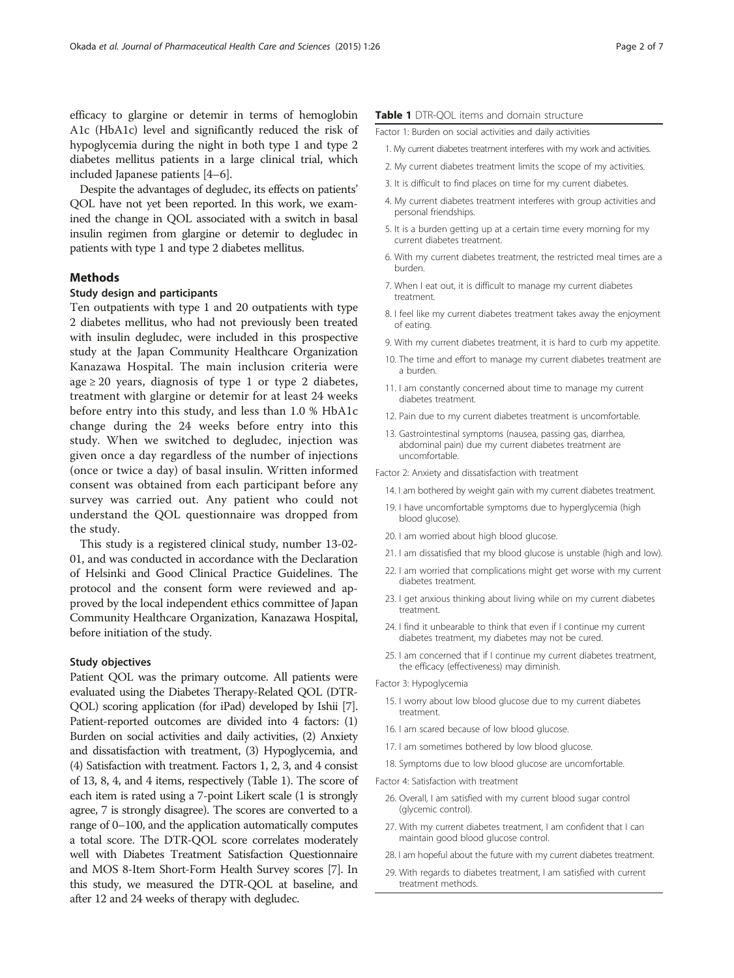<span id="page-1-0"></span>efficacy to glargine or detemir in terms of hemoglobin A1c (HbA1c) level and significantly reduced the risk of hypoglycemia during the night in both type 1 and type 2 diabetes mellitus patients in a large clinical trial, which included Japanese patients [[4](#page-5-0)–[6](#page-5-0)].

Despite the advantages of degludec, its effects on patients' QOL have not yet been reported. In this work, we examined the change in QOL associated with a switch in basal insulin regimen from glargine or detemir to degludec in patients with type 1 and type 2 diabetes mellitus.

# Methods

# Study design and participants

Ten outpatients with type 1 and 20 outpatients with type 2 diabetes mellitus, who had not previously been treated with insulin degludec, were included in this prospective study at the Japan Community Healthcare Organization Kanazawa Hospital. The main inclusion criteria were age  $\geq$  20 years, diagnosis of type 1 or type 2 diabetes, treatment with glargine or detemir for at least 24 weeks before entry into this study, and less than 1.0 % HbA1c change during the 24 weeks before entry into this study. When we switched to degludec, injection was given once a day regardless of the number of injections (once or twice a day) of basal insulin. Written informed consent was obtained from each participant before any survey was carried out. Any patient who could not understand the QOL questionnaire was dropped from the study.

This study is a registered clinical study, number 13-02- 01, and was conducted in accordance with the Declaration of Helsinki and Good Clinical Practice Guidelines. The protocol and the consent form were reviewed and approved by the local independent ethics committee of Japan Community Healthcare Organization, Kanazawa Hospital, before initiation of the study.

## Study objectives

Patient QOL was the primary outcome. All patients were evaluated using the Diabetes Therapy-Related QOL (DTR-QOL) scoring application (for iPad) developed by Ishii [[7](#page-5-0)]. Patient-reported outcomes are divided into 4 factors: (1) Burden on social activities and daily activities, (2) Anxiety and dissatisfaction with treatment, (3) Hypoglycemia, and (4) Satisfaction with treatment. Factors 1, 2, 3, and 4 consist of 13, 8, 4, and 4 items, respectively (Table 1). The score of each item is rated using a 7-point Likert scale (1 is strongly agree, 7 is strongly disagree). The scores are converted to a range of 0–100, and the application automatically computes a total score. The DTR-QOL score correlates moderately well with Diabetes Treatment Satisfaction Questionnaire and MOS 8-Item Short-Form Health Survey scores [\[7\]](#page-5-0). In this study, we measured the DTR-QOL at baseline, and after 12 and 24 weeks of therapy with degludec.

#### Table 1 DTR-QOL items and domain structure

Factor 1: Burden on social activities and daily activities

- 1. My current diabetes treatment interferes with my work and activities.
- 2. My current diabetes treatment limits the scope of my activities.
- 3. It is difficult to find places on time for my current diabetes.
- 4. My current diabetes treatment interferes with group activities and personal friendships.
- 5. It is a burden getting up at a certain time every morning for my current diabetes treatment.
- 6. With my current diabetes treatment, the restricted meal times are a burden.
- 7. When I eat out, it is difficult to manage my current diabetes treatment.
- 8. I feel like my current diabetes treatment takes away the enjoyment of eating.
- 9. With my current diabetes treatment, it is hard to curb my appetite.
- 10. The time and effort to manage my current diabetes treatment are a burden.
- 11. I am constantly concerned about time to manage my current diabetes treatment.
- 12. Pain due to my current diabetes treatment is uncomfortable.
- 13. Gastrointestinal symptoms (nausea, passing gas, diarrhea, abdominal pain) due my current diabetes treatment are uncomfortable.

Factor 2: Anxiety and dissatisfaction with treatment

- 14. I am bothered by weight gain with my current diabetes treatment.
- 19. I have uncomfortable symptoms due to hyperglycemia (high blood glucose).
- 20. I am worried about high blood glucose.
- 21. I am dissatisfied that my blood glucose is unstable (high and low).
- 22. I am worried that complications might get worse with my current diabetes treatment.
- 23. I get anxious thinking about living while on my current diabetes treatment.
- 24. I find it unbearable to think that even if I continue my current diabetes treatment, my diabetes may not be cured.
- 25. I am concerned that if I continue my current diabetes treatment, the efficacy (effectiveness) may diminish.

Factor 3: Hypoglycemia

- 15. I worry about low blood glucose due to my current diabetes treatment.
- 16. I am scared because of low blood glucose.
- 17. I am sometimes bothered by low blood glucose.
- 18. Symptoms due to low blood glucose are uncomfortable.

Factor 4: Satisfaction with treatment

- 26. Overall, I am satisfied with my current blood sugar control (glycemic control).
- 27. With my current diabetes treatment, I am confident that I can maintain good blood glucose control.
- 28. I am hopeful about the future with my current diabetes treatment.
- 29. With regards to diabetes treatment, I am satisfied with current treatment methods.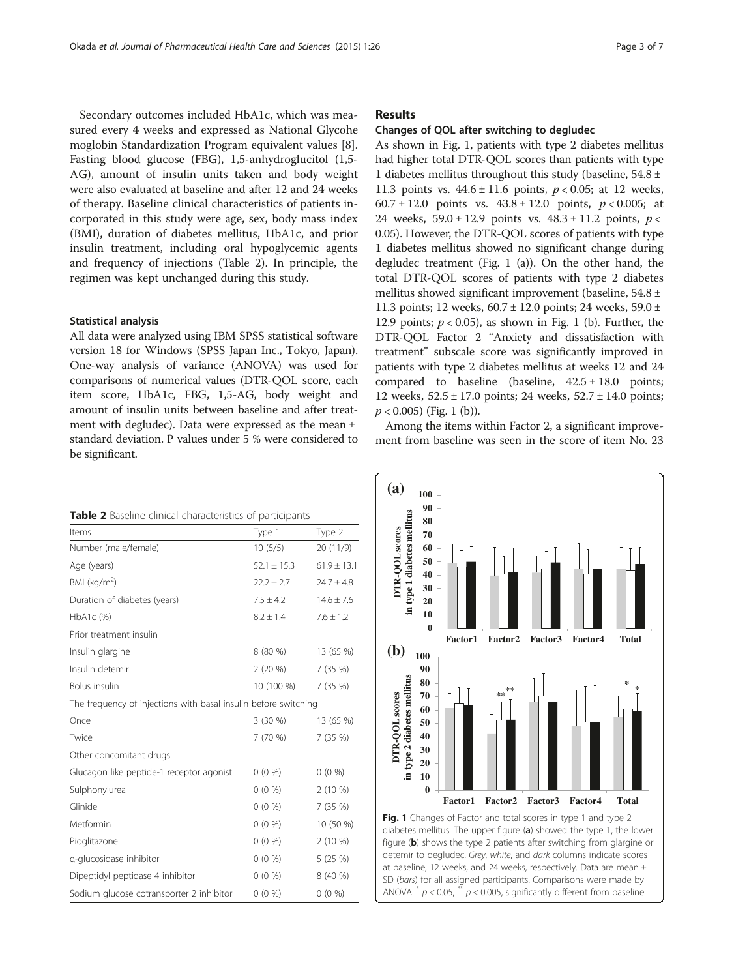Secondary outcomes included HbA1c, which was measured every 4 weeks and expressed as National Glycohe moglobin Standardization Program equivalent values [\[8](#page-5-0)]. Fasting blood glucose (FBG), 1,5-anhydroglucitol (1,5- AG), amount of insulin units taken and body weight were also evaluated at baseline and after 12 and 24 weeks of therapy. Baseline clinical characteristics of patients incorporated in this study were age, sex, body mass index (BMI), duration of diabetes mellitus, HbA1c, and prior insulin treatment, including oral hypoglycemic agents and frequency of injections (Table 2). In principle, the regimen was kept unchanged during this study.

#### Statistical analysis

All data were analyzed using IBM SPSS statistical software version 18 for Windows (SPSS Japan Inc., Tokyo, Japan). One-way analysis of variance (ANOVA) was used for comparisons of numerical values (DTR-QOL score, each item score, HbA1c, FBG, 1,5-AG, body weight and amount of insulin units between baseline and after treatment with degludec). Data were expressed as the mean ± standard deviation. P values under 5 % were considered to be significant.

|  |  |  |  | <b>Table 2</b> Baseline clinical characteristics of participants |  |  |
|--|--|--|--|------------------------------------------------------------------|--|--|
|--|--|--|--|------------------------------------------------------------------|--|--|

| Items                                                           | Type 1          | Type 2          |  |  |  |
|-----------------------------------------------------------------|-----------------|-----------------|--|--|--|
| Number (male/female)                                            | 10(5/5)         | 20(11/9)        |  |  |  |
| Age (years)                                                     | $52.1 \pm 15.3$ | $61.9 \pm 13.1$ |  |  |  |
| BMI ( $kg/m2$ )                                                 | $22.2 \pm 2.7$  | $24.7 \pm 4.8$  |  |  |  |
| Duration of diabetes (years)                                    | $7.5 \pm 4.2$   | $14.6 \pm 7.6$  |  |  |  |
| $HbA1c$ (%)                                                     | $8.2 \pm 1.4$   | $7.6 \pm 1.2$   |  |  |  |
| Prior treatment insulin                                         |                 |                 |  |  |  |
| Insulin glargine                                                | 8 (80 %)        | 13 (65 %)       |  |  |  |
| Insulin detemir                                                 | $2(20\%)$       | 7 (35 %)        |  |  |  |
| Bolus insulin                                                   | 10 (100 %)      | 7 (35 %)        |  |  |  |
| The frequency of injections with basal insulin before switching |                 |                 |  |  |  |
| Once                                                            | 3 (30 %)        | 13 (65 %)       |  |  |  |
| Twice                                                           | 7 (70 %)        | 7 (35 %)        |  |  |  |
| Other concomitant drugs                                         |                 |                 |  |  |  |
| Glucagon like peptide-1 receptor agonist                        | $0(0\%)$        | $0(0\%)$        |  |  |  |
| Sulphonylurea                                                   | $0(0\%)$        | $2(10\%)$       |  |  |  |
| Glinide                                                         | $0(0\%)$        | 7 (35 %)        |  |  |  |
| Metformin                                                       | $0(0\%)$        | 10 (50 %)       |  |  |  |
| Pioglitazone                                                    | $0(0\%)$        | $2(10\%)$       |  |  |  |
| a-glucosidase inhibitor                                         | $0(0\%)$        | 5(25%)          |  |  |  |
| Dipeptidyl peptidase 4 inhibitor                                | $0(0\%)$        | 8 (40 %)        |  |  |  |
| Sodium glucose cotransporter 2 inhibitor                        | $0(0\%)$        | $0(0\%)$        |  |  |  |

# Results

# Changes of QOL after switching to degludec

As shown in Fig. 1, patients with type 2 diabetes mellitus had higher total DTR-QOL scores than patients with type 1 diabetes mellitus throughout this study (baseline,  $54.8 \pm$ 11.3 points vs.  $44.6 \pm 11.6$  points,  $p < 0.05$ ; at 12 weeks, 60.7 ± 12.0 points vs.  $43.8 \pm 12.0$  points,  $p < 0.005$ ; at 24 weeks,  $59.0 \pm 12.9$  points vs.  $48.3 \pm 11.2$  points,  $p <$ 0.05). However, the DTR-QOL scores of patients with type 1 diabetes mellitus showed no significant change during degludec treatment (Fig. 1 (a)). On the other hand, the total DTR-QOL scores of patients with type 2 diabetes mellitus showed significant improvement (baseline, 54.8 ± 11.3 points; 12 weeks,  $60.7 \pm 12.0$  points; 24 weeks,  $59.0 \pm 12.0$ 12.9 points;  $p < 0.05$ ), as shown in Fig. 1 (b). Further, the DTR-QOL Factor 2 "Anxiety and dissatisfaction with treatment" subscale score was significantly improved in patients with type 2 diabetes mellitus at weeks 12 and 24 compared to baseline (baseline,  $42.5 \pm 18.0$  points; 12 weeks,  $52.5 \pm 17.0$  points; 24 weeks,  $52.7 \pm 14.0$  points;  $p < 0.005$ ) (Fig. 1 (b)).

Among the items within Factor 2, a significant improvement from baseline was seen in the score of item No. 23



ANOVA.  $p < 0.05$ ,  $\rightarrow p < 0.005$ , significantly different from baseline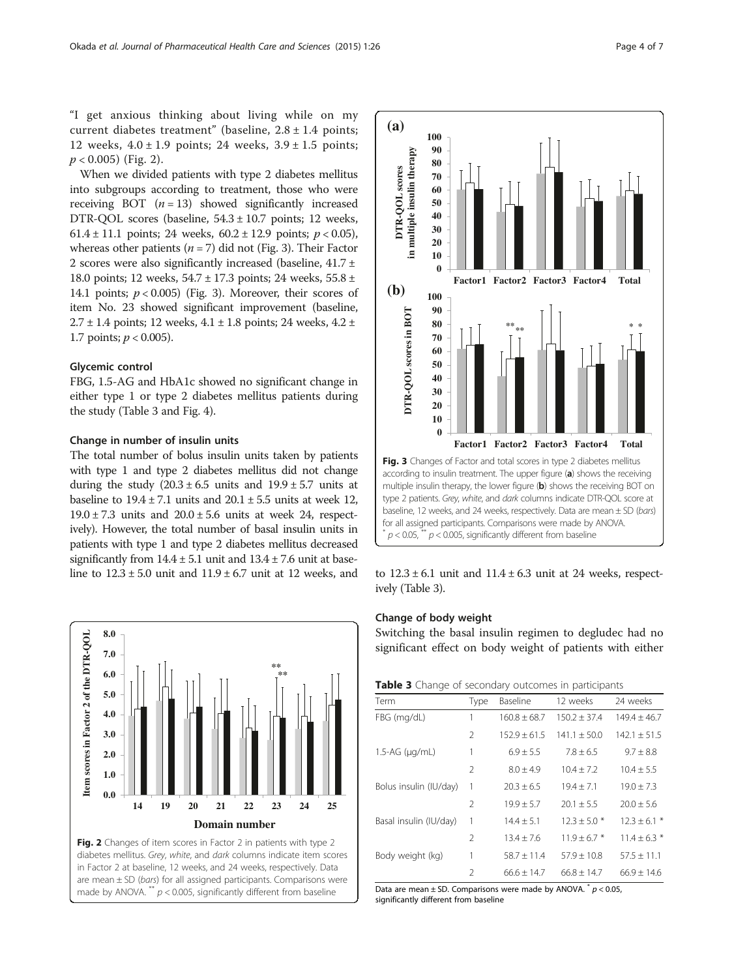<span id="page-3-0"></span>When we divided patients with type 2 diabetes mellitus into subgroups according to treatment, those who were receiving BOT  $(n = 13)$  showed significantly increased DTR-QOL scores (baseline, 54.3 ± 10.7 points; 12 weeks, 61.4 ± 11.1 points; 24 weeks,  $60.2 \pm 12.9$  points;  $p < 0.05$ ), whereas other patients ( $n = 7$ ) did not (Fig. 3). Their Factor 2 scores were also significantly increased (baseline, 41.7 ± 18.0 points; 12 weeks, 54.7 ± 17.3 points; 24 weeks, 55.8 ± 14.1 points;  $p < 0.005$ ) (Fig. 3). Moreover, their scores of item No. 23 showed significant improvement (baseline,  $2.7 \pm 1.4$  points; 12 weeks,  $4.1 \pm 1.8$  points; 24 weeks,  $4.2 \pm 1.4$ 1.7 points;  $p < 0.005$ ).

# Glycemic control

FBG, 1.5-AG and HbA1c showed no significant change in either type 1 or type 2 diabetes mellitus patients during the study (Table 3 and Fig. [4](#page-4-0)).

#### Change in number of insulin units

The total number of bolus insulin units taken by patients with type 1 and type 2 diabetes mellitus did not change during the study  $(20.3 \pm 6.5 \text{ units and } 19.9 \pm 5.7 \text{ units at }$ baseline to  $19.4 \pm 7.1$  units and  $20.1 \pm 5.5$  units at week 12,  $19.0 \pm 7.3$  units and  $20.0 \pm 5.6$  units at week 24, respectively). However, the total number of basal insulin units in patients with type 1 and type 2 diabetes mellitus decreased significantly from  $14.4 \pm 5.1$  unit and  $13.4 \pm 7.6$  unit at baseline to  $12.3 \pm 5.0$  unit and  $11.9 \pm 6.7$  unit at  $12$  weeks, and to  $12.3 \pm 6.1$  unit and  $11.4 \pm 6.3$  unit at 24 weeks, respect-





ively (Table 3).

### Change of body weight

Switching the basal insulin regimen to degludec had no significant effect on body weight of patients with either

| <b>Table 3</b> Change of secondary outcomes in participants |  |  |
|-------------------------------------------------------------|--|--|
|-------------------------------------------------------------|--|--|

| Term                     | Type           | Baseline         | 12 weeks       | 24 weeks         |
|--------------------------|----------------|------------------|----------------|------------------|
| FBG (mg/dL)              | 1              | $160.8 + 68.7$   | $150.2 + 37.4$ | $149.4 \pm 46.7$ |
|                          | $\mathcal{P}$  | $152.9 \pm 61.5$ | $141.1 + 50.0$ | $142.1 + 51.5$   |
| $1.5 - AG$ ( $\mu$ g/mL) | 1              | $6.9 \pm 5.5$    | $7.8 \pm 6.5$  | $9.7 \pm 8.8$    |
|                          | $\mathcal{P}$  | $8.0 + 4.9$      | $10.4 + 7.2$   | $10.4 \pm 5.5$   |
| Bolus insulin (IU/day)   | 1              | $20.3 + 6.5$     | $19.4 + 7.1$   | $19.0 + 7.3$     |
|                          | $\mathcal{P}$  | $19.9 + 5.7$     | $20.1 + 5.5$   | $20.0 + 5.6$     |
| Basal insulin (IU/day)   | 1              | $14.4 + 5.1$     | $12.3 + 5.0*$  | $12.3 \pm 6.1$ * |
|                          | $\mathcal{P}$  | $13.4 + 7.6$     | $11.9 + 6.7*$  | $11.4 + 6.3$ *   |
| Body weight (kg)         | 1              | $58.7 + 11.4$    | $57.9 + 10.8$  | $57.5 \pm 11.1$  |
|                          | $\mathfrak{D}$ | $66.6 + 14.7$    | $66.8 + 14.7$  | $66.9 + 14.6$    |

Data are mean  $\pm$  SD. Comparisons were made by ANOVA.  $p$  < 0.05, significantly different from baseline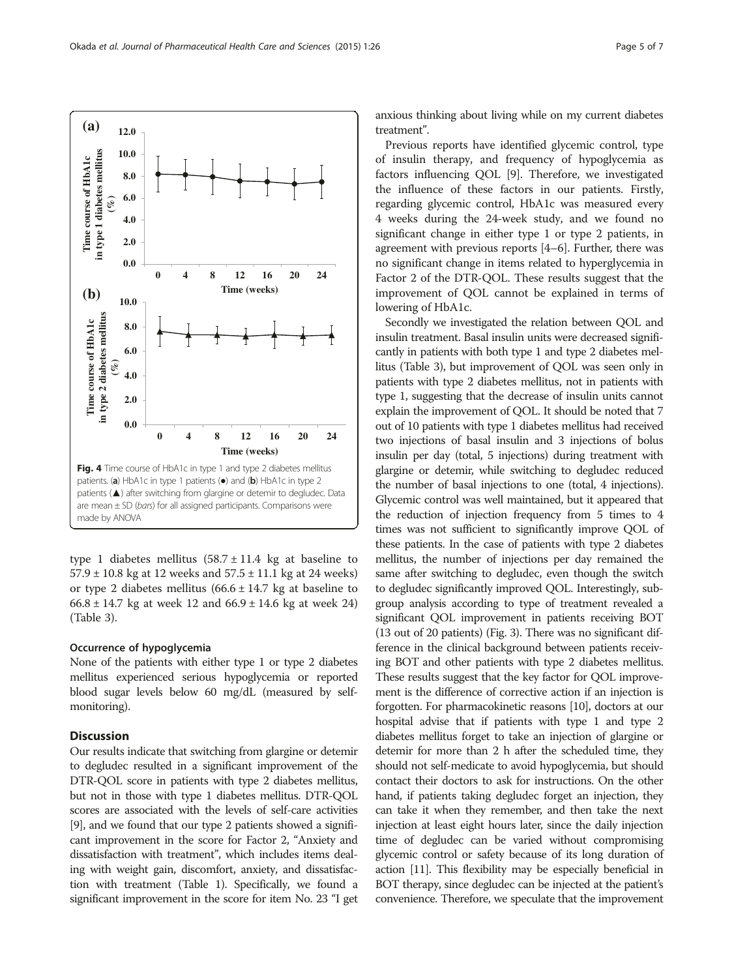type 1 diabetes mellitus  $(58.7 \pm 11.4)$  kg at baseline to 57.9 ± 10.8 kg at 12 weeks and 57.5 ± 11.1 kg at 24 weeks) or type 2 diabetes mellitus  $(66.6 \pm 14.7 \text{ kg at baseline to})$  $66.8 \pm 14.7$  kg at week 12 and  $66.9 \pm 14.6$  kg at week 24) (Table [3\)](#page-3-0).

## Occurrence of hypoglycemia

None of the patients with either type 1 or type 2 diabetes mellitus experienced serious hypoglycemia or reported blood sugar levels below 60 mg/dL (measured by selfmonitoring).

# **Discussion**

Our results indicate that switching from glargine or detemir to degludec resulted in a significant improvement of the DTR-QOL score in patients with type 2 diabetes mellitus, but not in those with type 1 diabetes mellitus. DTR-QOL scores are associated with the levels of self-care activities [[9](#page-5-0)], and we found that our type 2 patients showed a significant improvement in the score for Factor 2, "Anxiety and dissatisfaction with treatment", which includes items dealing with weight gain, discomfort, anxiety, and dissatisfaction with treatment (Table [1](#page-1-0)). Specifically, we found a significant improvement in the score for item No. 23 "I get anxious thinking about living while on my current diabetes treatment".

Previous reports have identified glycemic control, type of insulin therapy, and frequency of hypoglycemia as factors influencing QOL [\[9](#page-5-0)]. Therefore, we investigated the influence of these factors in our patients. Firstly, regarding glycemic control, HbA1c was measured every 4 weeks during the 24-week study, and we found no significant change in either type 1 or type 2 patients, in agreement with previous reports [\[4](#page-5-0)–[6](#page-5-0)]. Further, there was no significant change in items related to hyperglycemia in Factor 2 of the DTR-QOL. These results suggest that the improvement of QOL cannot be explained in terms of lowering of HbA1c.

Secondly we investigated the relation between QOL and insulin treatment. Basal insulin units were decreased significantly in patients with both type 1 and type 2 diabetes mellitus (Table [3\)](#page-3-0), but improvement of QOL was seen only in patients with type 2 diabetes mellitus, not in patients with type 1, suggesting that the decrease of insulin units cannot explain the improvement of QOL. It should be noted that 7 out of 10 patients with type 1 diabetes mellitus had received two injections of basal insulin and 3 injections of bolus insulin per day (total, 5 injections) during treatment with glargine or detemir, while switching to degludec reduced the number of basal injections to one (total, 4 injections). Glycemic control was well maintained, but it appeared that the reduction of injection frequency from 5 times to 4 times was not sufficient to significantly improve QOL of these patients. In the case of patients with type 2 diabetes mellitus, the number of injections per day remained the same after switching to degludec, even though the switch to degludec significantly improved QOL. Interestingly, subgroup analysis according to type of treatment revealed a significant QOL improvement in patients receiving BOT (13 out of 20 patients) (Fig. [3\)](#page-3-0). There was no significant difference in the clinical background between patients receiving BOT and other patients with type 2 diabetes mellitus. These results suggest that the key factor for QOL improvement is the difference of corrective action if an injection is forgotten. For pharmacokinetic reasons [\[10\]](#page-5-0), doctors at our hospital advise that if patients with type 1 and type 2 diabetes mellitus forget to take an injection of glargine or detemir for more than 2 h after the scheduled time, they should not self-medicate to avoid hypoglycemia, but should contact their doctors to ask for instructions. On the other hand, if patients taking degludec forget an injection, they can take it when they remember, and then take the next injection at least eight hours later, since the daily injection time of degludec can be varied without compromising glycemic control or safety because of its long duration of action [[11](#page-5-0)]. This flexibility may be especially beneficial in BOT therapy, since degludec can be injected at the patient's convenience. Therefore, we speculate that the improvement

<span id="page-4-0"></span>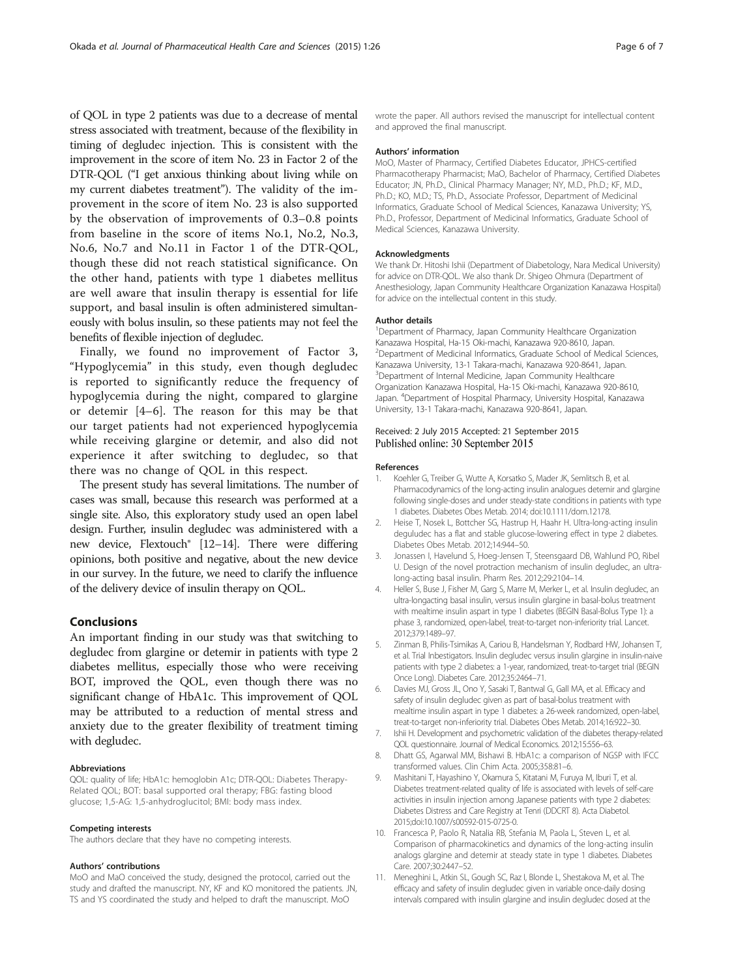<span id="page-5-0"></span>of QOL in type 2 patients was due to a decrease of mental stress associated with treatment, because of the flexibility in timing of degludec injection. This is consistent with the improvement in the score of item No. 23 in Factor 2 of the DTR-QOL ("I get anxious thinking about living while on my current diabetes treatment"). The validity of the improvement in the score of item No. 23 is also supported by the observation of improvements of 0.3–0.8 points from baseline in the score of items No.1, No.2, No.3, No.6, No.7 and No.11 in Factor 1 of the DTR-QOL, though these did not reach statistical significance. On the other hand, patients with type 1 diabetes mellitus are well aware that insulin therapy is essential for life support, and basal insulin is often administered simultaneously with bolus insulin, so these patients may not feel the benefits of flexible injection of degludec.

Finally, we found no improvement of Factor 3, "Hypoglycemia" in this study, even though degludec is reported to significantly reduce the frequency of hypoglycemia during the night, compared to glargine or detemir [4–6]. The reason for this may be that our target patients had not experienced hypoglycemia while receiving glargine or detemir, and also did not experience it after switching to degludec, so that there was no change of QOL in this respect.

The present study has several limitations. The number of cases was small, because this research was performed at a single site. Also, this exploratory study used an open label design. Further, insulin degludec was administered with a new device, Flextouch® [\[12](#page-6-0)–[14](#page-6-0)]. There were differing opinions, both positive and negative, about the new device in our survey. In the future, we need to clarify the influence of the delivery device of insulin therapy on QOL.

## Conclusions

An important finding in our study was that switching to degludec from glargine or detemir in patients with type 2 diabetes mellitus, especially those who were receiving BOT, improved the QOL, even though there was no significant change of HbA1c. This improvement of QOL may be attributed to a reduction of mental stress and anxiety due to the greater flexibility of treatment timing with degludec.

#### Abbreviations

QOL: quality of life; HbA1c: hemoglobin A1c; DTR-QOL: Diabetes Therapy-Related QOL; BOT: basal supported oral therapy; FBG: fasting blood glucose; 1,5-AG: 1,5-anhydroglucitol; BMI: body mass index.

#### Competing interests

The authors declare that they have no competing interests.

#### Authors' contributions

MoO and MaO conceived the study, designed the protocol, carried out the study and drafted the manuscript. NY, KF and KO monitored the patients. JN, TS and YS coordinated the study and helped to draft the manuscript. MoO

wrote the paper. All authors revised the manuscript for intellectual content and approved the final manuscript.

#### Authors' information

MoO, Master of Pharmacy, Certified Diabetes Educator, JPHCS-certified Pharmacotherapy Pharmacist; MaO, Bachelor of Pharmacy, Certified Diabetes Educator; JN, Ph.D., Clinical Pharmacy Manager; NY, M.D., Ph.D.; KF, M.D., Ph.D.; KO, M.D.; TS, Ph.D., Associate Professor, Department of Medicinal Informatics, Graduate School of Medical Sciences, Kanazawa University; YS, Ph.D., Professor, Department of Medicinal Informatics, Graduate School of Medical Sciences, Kanazawa University.

#### Acknowledgments

We thank Dr. Hitoshi Ishii (Department of Diabetology, Nara Medical University) for advice on DTR-QOL. We also thank Dr. Shigeo Ohmura (Department of Anesthesiology, Japan Community Healthcare Organization Kanazawa Hospital) for advice on the intellectual content in this study.

#### Author details

<sup>1</sup>Department of Pharmacy, Japan Community Healthcare Organization Kanazawa Hospital, Ha-15 Oki-machi, Kanazawa 920-8610, Japan. <sup>2</sup> Department of Medicinal Informatics, Graduate School of Medical Sciences, Kanazawa University, 13-1 Takara-machi, Kanazawa 920-8641, Japan. <sup>3</sup>Department of Internal Medicine, Japan Community Healthcare Organization Kanazawa Hospital, Ha-15 Oki-machi, Kanazawa 920-8610, Japan. <sup>4</sup> Department of Hospital Pharmacy, University Hospital, Kanazawa University, 13-1 Takara-machi, Kanazawa 920-8641, Japan.

#### Received: 2 July 2015 Accepted: 21 September 2015 Published online: 30 September 2015

#### References

- Koehler G, Treiber G, Wutte A, Korsatko S, Mader JK, Semlitsch B, et al. Pharmacodynamics of the long-acting insulin analogues detemir and glargine following single-doses and under steady-state conditions in patients with type 1 diabetes. Diabetes Obes Metab. 2014; doi[:10.1111/dom.12178.](http://dx.doi.org/10.1111/dom.12178)
- 2. Heise T, Nosek L, Bottcher SG, Hastrup H, Haahr H. Ultra-long-acting insulin deguludec has a flat and stable glucose-lowering effect in type 2 diabetes. Diabetes Obes Metab. 2012;14:944–50.
- 3. Jonassen I, Havelund S, Hoeg-Jensen T, Steensgaard DB, Wahlund PO, Ribel U. Design of the novel protraction mechanism of insulin degludec, an ultralong-acting basal insulin. Pharm Res. 2012;29:2104–14.
- 4. Heller S, Buse J, Fisher M, Garg S, Marre M, Merker L, et al. Insulin degludec, an ultra-longacting basal insulin, versus insulin glargine in basal-bolus treatment with mealtime insulin aspart in type 1 diabetes (BEGIN Basal-Bolus Type 1): a phase 3, randomized, open-label, treat-to-target non-inferiority trial. Lancet. 2012;379:1489–97.
- 5. Zinman B, Philis-Tsimikas A, Cariou B, Handelsman Y, Rodbard HW, Johansen T, et al. Trial Inbestigators. Insulin degludec versus insulin glargine in insulin-naive patients with type 2 diabetes: a 1-year, randomized, treat-to-target trial (BEGIN Once Long). Diabetes Care. 2012;35:2464–71.
- 6. Davies MJ, Gross JL, Ono Y, Sasaki T, Bantwal G, Gall MA, et al. Efficacy and safety of insulin degludec given as part of basal-bolus treatment with mealtime insulin aspart in type 1 diabetes: a 26-week randomized, open-label, treat-to-target non-inferiority trial. Diabetes Obes Metab. 2014;16:922–30.
- 7. Ishii H. Development and psychometric validation of the diabetes therapy-related QOL questionnaire. Journal of Medical Economics. 2012;15:556–63.
- 8. Dhatt GS, Agarwal MM, Bishawi B. HbA1c: a comparison of NGSP with IFCC transformed values. Clin Chim Acta. 2005;358:81–6.
- 9. Mashitani T, Hayashino Y, Okamura S, Kitatani M, Furuya M, Iburi T, et al. Diabetes treatment-related quality of life is associated with levels of self-care activities in insulin injection among Japanese patients with type 2 diabetes: Diabetes Distress and Care Registry at Tenri (DDCRT 8). Acta Diabetol. 2015;doi[:10.1007/s00592-015-0725-0](http://dx.doi.org/10.1007/s00592-015-0725-0).
- 10. Francesca P, Paolo R, Natalia RB, Stefania M, Paola L, Steven L, et al. Comparison of pharmacokinetics and dynamics of the long-acting insulin analogs glargine and detemir at steady state in type 1 diabetes. Diabetes Care. 2007;30:2447–52.
- 11. Meneghini L, Atkin SL, Gough SC, Raz I, Blonde L, Shestakova M, et al. The efficacy and safety of insulin degludec given in variable once-daily dosing intervals compared with insulin glargine and insulin degludec dosed at the